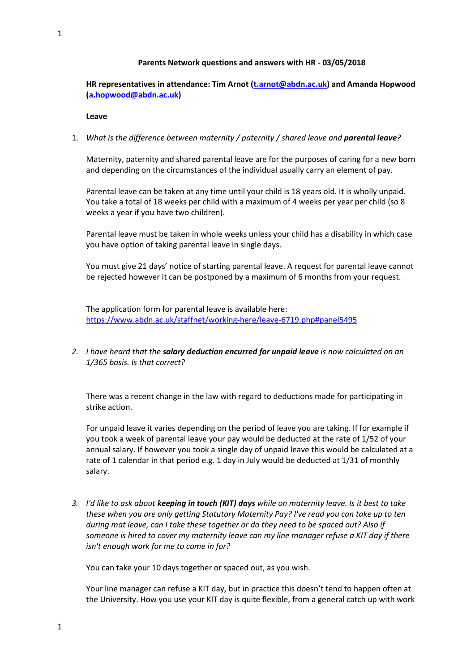### **Parents Network questions and answers with HR - 03/05/2018**

# **HR representatives in attendance: Tim Arnot [\(t.arnot@abdn.ac.uk\)](mailto:t.arnot@abdn.ac.uk) and Amanda Hopwood [\(a.hopwood@abdn.ac.uk\)](mailto:a.hopwood@abdn.ac.uk)**

**Leave**

## 1. *What is the difference between maternity / paternity / shared leave and parental leave?*

Maternity, paternity and shared parental leave are for the purposes of caring for a new born and depending on the circumstances of the individual usually carry an element of pay.

Parental leave can be taken at any time until your child is 18 years old. It is wholly unpaid. You take a total of 18 weeks per child with a maximum of 4 weeks per year per child (so 8 weeks a year if you have two children).

Parental leave must be taken in whole weeks unless your child has a disability in which case you have option of taking parental leave in single days.

You must give 21 days' notice of starting parental leave. A request for parental leave cannot be rejected however it can be postponed by a maximum of 6 months from your request.

The application form for parental leave is available here: <https://www.abdn.ac.uk/staffnet/working-here/leave-6719.php#panel5495>

*2. I have heard that the salary deduction encurred for unpaid leave is now calculated on an 1/365 basis. Is that correct?*

There was a recent change in the law with regard to deductions made for participating in strike action.

For unpaid leave it varies depending on the period of leave you are taking. If for example if you took a week of parental leave your pay would be deducted at the rate of 1/52 of your annual salary. If however you took a single day of unpaid leave this would be calculated at a rate of 1 calendar in that period e.g. 1 day in July would be deducted at 1/31 of monthly salary.

*3. I'd like to ask about keeping in touch (KIT) days while on maternity leave. Is it best to take these when you are only getting Statutory Maternity Pay? I've read you can take up to ten during mat leave, can I take these together or do they need to be spaced out? Also if someone is hired to cover my maternity leave can my line manager refuse a KIT day if there isn't enough work for me to come in for?*

You can take your 10 days together or spaced out, as you wish.

Your line manager can refuse a KIT day, but in practice this doesn't tend to happen often at the University. How you use your KIT day is quite flexible, from a general catch up with work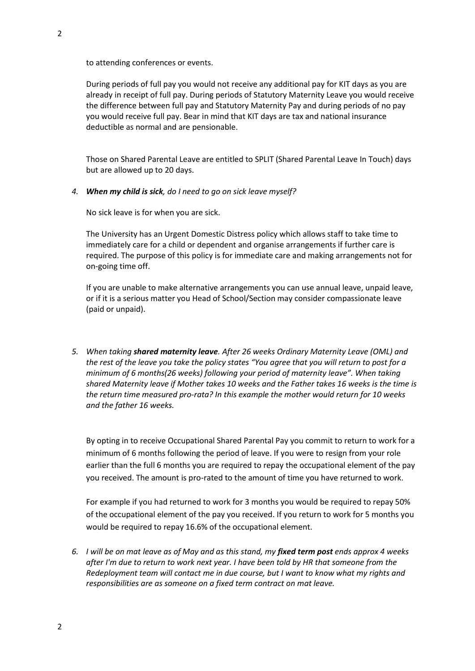to attending conferences or events.

During periods of full pay you would not receive any additional pay for KIT days as you are already in receipt of full pay. During periods of Statutory Maternity Leave you would receive the difference between full pay and Statutory Maternity Pay and during periods of no pay you would receive full pay. Bear in mind that KIT days are tax and national insurance deductible as normal and are pensionable.

Those on Shared Parental Leave are entitled to SPLIT (Shared Parental Leave In Touch) days but are allowed up to 20 days.

*4. When my child is sick, do I need to go on sick leave myself?*

No sick leave is for when you are sick.

The University has an Urgent Domestic Distress policy which allows staff to take time to immediately care for a child or dependent and organise arrangements if further care is required. The purpose of this policy is for immediate care and making arrangements not for on-going time off.

If you are unable to make alternative arrangements you can use annual leave, unpaid leave, or if it is a serious matter you Head of School/Section may consider compassionate leave (paid or unpaid).

*5. When taking shared maternity leave. After 26 weeks Ordinary Maternity Leave (OML) and the rest of the leave you take the policy states "You agree that you will return to post for a minimum of 6 months(26 weeks) following your period of maternity leave". When taking shared Maternity leave if Mother takes 10 weeks and the Father takes 16 weeks is the time is the return time measured pro-rata? In this example the mother would return for 10 weeks and the father 16 weeks.* 

By opting in to receive Occupational Shared Parental Pay you commit to return to work for a minimum of 6 months following the period of leave. If you were to resign from your role earlier than the full 6 months you are required to repay the occupational element of the pay you received. The amount is pro-rated to the amount of time you have returned to work.

For example if you had returned to work for 3 months you would be required to repay 50% of the occupational element of the pay you received. If you return to work for 5 months you would be required to repay 16.6% of the occupational element.

*6. I will be on mat leave as of May and as this stand, my fixed term post ends approx 4 weeks after I'm due to return to work next year. I have been told by HR that someone from the Redeployment team will contact me in due course, but I want to know what my rights and responsibilities are as someone on a fixed term contract on mat leave.*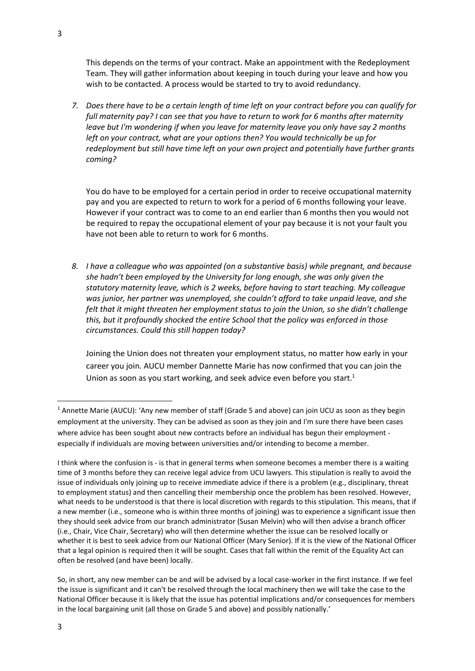This depends on the terms of your contract. Make an appointment with the Redeployment Team. They will gather information about keeping in touch during your leave and how you wish to be contacted. A process would be started to try to avoid redundancy.

*7. Does there have to be a certain length of time left on your contract before you can qualify for full maternity pay? I can see that you have to return to work for 6 months after maternity leave but I'm wondering if when you leave for maternity leave you only have say 2 months left on your contract, what are your options then? You would technically be up for redeployment but still have time left on your own project and potentially have further grants coming?* 

You do have to be employed for a certain period in order to receive occupational maternity pay and you are expected to return to work for a period of 6 months following your leave. However if your contract was to come to an end earlier than 6 months then you would not be required to repay the occupational element of your pay because it is not your fault you have not been able to return to work for 6 months.

*8. I have a colleague who was appointed (on a substantive basis) while pregnant, and because she hadn't been employed by the University for long enough, she was only given the statutory maternity leave, which is 2 weeks, before having to start teaching. My colleague was junior, her partner was unemployed, she couldn't afford to take unpaid leave, and she felt that it might threaten her employment status to join the Union, so she didn't challenge this, but it profoundly shocked the entire School that the policy was enforced in those circumstances. Could this still happen today?*

Joining the Union does not threaten your employment status, no matter how early in your career you join. AUCU member Dannette Marie has now confirmed that you can join the Union as soon as you start working, and seek advice even before you start.<sup>1</sup>

<sup>&</sup>lt;sup>1</sup> Annette Marie (AUCU): 'Any new member of staff (Grade 5 and above) can join UCU as soon as they begin employment at the university. They can be advised as soon as they join and I'm sure there have been cases where advice has been sought about new contracts before an individual has begun their employment especially if individuals are moving between universities and/or intending to become a member.

I think where the confusion is - is that in general terms when someone becomes a member there is a waiting time of 3 months before they can receive legal advice from UCU lawyers. This stipulation is really to avoid the issue of individuals only joining up to receive immediate advice if there is a problem (e.g., disciplinary, threat to employment status) and then cancelling their membership once the problem has been resolved. However, what needs to be understood is that there is local discretion with regards to this stipulation. This means, that if a new member (i.e., someone who is within three months of joining) was to experience a significant issue then they should seek advice from our branch administrator (Susan Melvin) who will then advise a branch officer (i.e., Chair, Vice Chair, Secretary) who will then determine whether the issue can be resolved locally or whether it is best to seek advice from our National Officer (Mary Senior). If it is the view of the National Officer that a legal opinion is required then it will be sought. Cases that fall within the remit of the Equality Act can often be resolved (and have been) locally.

So, in short, any new member can be and will be advised by a local case-worker in the first instance. If we feel the issue is significant and it can't be resolved through the local machinery then we will take the case to the National Officer because it is likely that the issue has potential implications and/or consequences for members in the local bargaining unit (all those on Grade 5 and above) and possibly nationally.'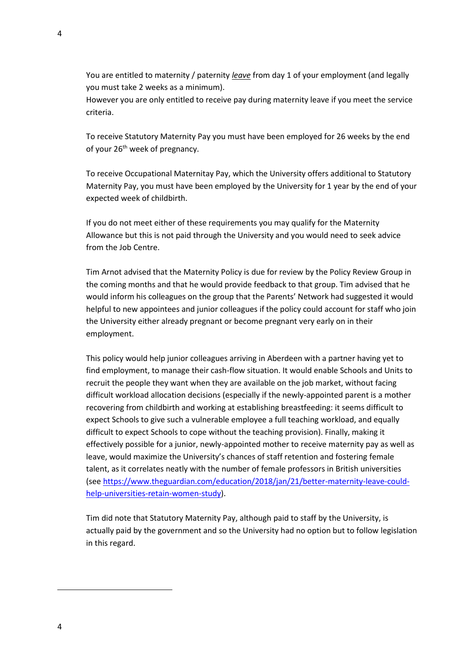You are entitled to maternity / paternity *leave* from day 1 of your employment (and legally you must take 2 weeks as a minimum).

However you are only entitled to receive pay during maternity leave if you meet the service criteria.

To receive Statutory Maternity Pay you must have been employed for 26 weeks by the end of your 26<sup>th</sup> week of pregnancy.

To receive Occupational Maternitay Pay, which the University offers additional to Statutory Maternity Pay, you must have been employed by the University for 1 year by the end of your expected week of childbirth.

If you do not meet either of these requirements you may qualify for the Maternity Allowance but this is not paid through the University and you would need to seek advice from the Job Centre.

Tim Arnot advised that the Maternity Policy is due for review by the Policy Review Group in the coming months and that he would provide feedback to that group. Tim advised that he would inform his colleagues on the group that the Parents' Network had suggested it would helpful to new appointees and junior colleagues if the policy could account for staff who join the University either already pregnant or become pregnant very early on in their employment.

This policy would help junior colleagues arriving in Aberdeen with a partner having yet to find employment, to manage their cash-flow situation. It would enable Schools and Units to recruit the people they want when they are available on the job market, without facing difficult workload allocation decisions (especially if the newly-appointed parent is a mother recovering from childbirth and working at establishing breastfeeding: it seems difficult to expect Schools to give such a vulnerable employee a full teaching workload, and equally difficult to expect Schools to cope without the teaching provision). Finally, making it effectively possible for a junior, newly-appointed mother to receive maternity pay as well as leave, would maximize the University's chances of staff retention and fostering female talent, as it correlates neatly with the number of female professors in British universities (see [https://www.theguardian.com/education/2018/jan/21/better-maternity-leave-could](https://www.theguardian.com/education/2018/jan/21/better-maternity-leave-could-help-universities-retain-women-study)[help-universities-retain-women-study\)](https://www.theguardian.com/education/2018/jan/21/better-maternity-leave-could-help-universities-retain-women-study).

Tim did note that Statutory Maternity Pay, although paid to staff by the University, is actually paid by the government and so the University had no option but to follow legislation in this regard.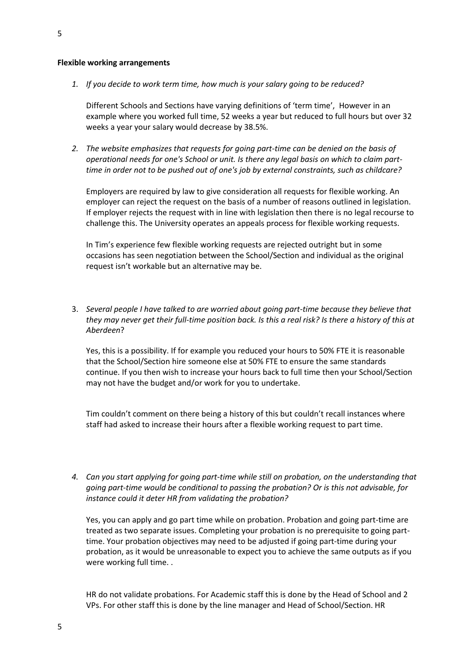#### **Flexible working arrangements**

*1. If you decide to work term time, how much is your salary going to be reduced?* 

Different Schools and Sections have varying definitions of 'term time', However in an example where you worked full time, 52 weeks a year but reduced to full hours but over 32 weeks a year your salary would decrease by 38.5%.

*2. The website emphasizes that requests for going part-time can be denied on the basis of operational needs for one's School or unit. Is there any legal basis on which to claim parttime in order not to be pushed out of one's job by external constraints, such as childcare?*

Employers are required by law to give consideration all requests for flexible working. An employer can reject the request on the basis of a number of reasons outlined in legislation. If employer rejects the request with in line with legislation then there is no legal recourse to challenge this. The University operates an appeals process for flexible working requests.

In Tim's experience few flexible working requests are rejected outright but in some occasions has seen negotiation between the School/Section and individual as the original request isn't workable but an alternative may be.

3. *Several people I have talked to are worried about going part-time because they believe that they may never get their full-time position back. Is this a real risk? Is there a history of this at Aberdeen*?

Yes, this is a possibility. If for example you reduced your hours to 50% FTE it is reasonable that the School/Section hire someone else at 50% FTE to ensure the same standards continue. If you then wish to increase your hours back to full time then your School/Section may not have the budget and/or work for you to undertake.

Tim couldn't comment on there being a history of this but couldn't recall instances where staff had asked to increase their hours after a flexible working request to part time.

*4. Can you start applying for going part-time while still on probation, on the understanding that going part-time would be conditional to passing the probation? Or is this not advisable, for instance could it deter HR from validating the probation?*

Yes, you can apply and go part time while on probation. Probation and going part-time are treated as two separate issues. Completing your probation is no prerequisite to going parttime. Your probation objectives may need to be adjusted if going part-time during your probation, as it would be unreasonable to expect you to achieve the same outputs as if you were working full time. .

HR do not validate probations. For Academic staff this is done by the Head of School and 2 VPs. For other staff this is done by the line manager and Head of School/Section. HR